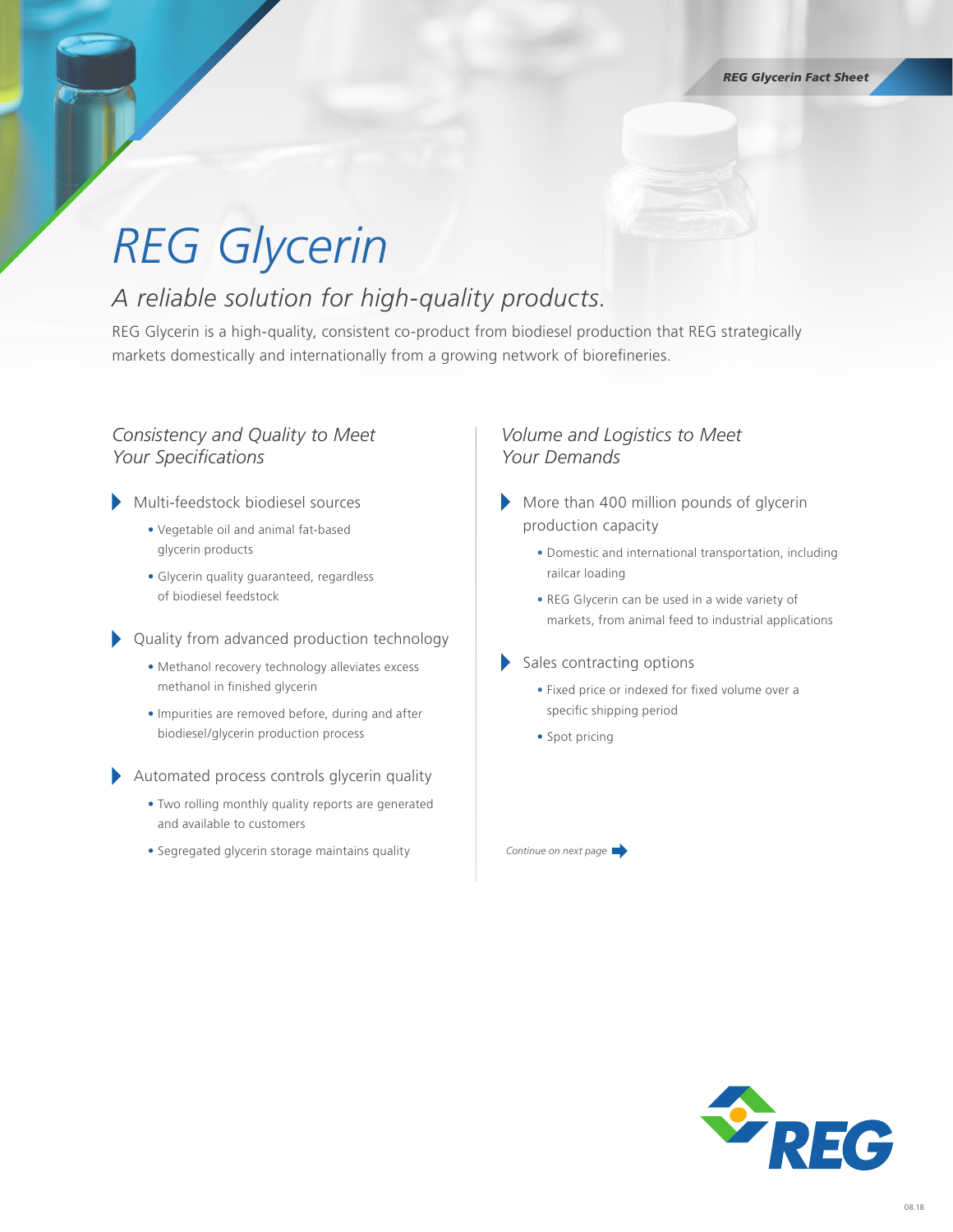# *REG Glycerin*

### *A reliable solution for high-quality products.*

REG Glycerin is a high-quality, consistent co-product from biodiesel production that REG strategically markets domestically and internationally from a growing network of biorefineries.

#### *Consistency and Quality to Meet Your Specifications*

- Multi-feedstock biodiesel sources
	- Vegetable oil and animal fat-based glycerin products
	- Glycerin quality guaranteed, regardless of biodiesel feedstock

Quality from advanced production technology

- Methanol recovery technology alleviates excess methanol in finished glycerin
- Impurities are removed before, during and after biodiesel/glycerin production process

Automated process controls glycerin quality

- Two rolling monthly quality reports are generated and available to customers
- Segregated glycerin storage maintains quality

#### *Volume and Logistics to Meet Your Demands*

- More than 400 million pounds of glycerin production capacity
	- Domestic and international transportation, including railcar loading
	- REG Glycerin can be used in a wide variety of markets, from animal feed to industrial applications
- Sales contracting options
	- Fixed price or indexed for fixed volume over a specific shipping period
	- Spot pricing